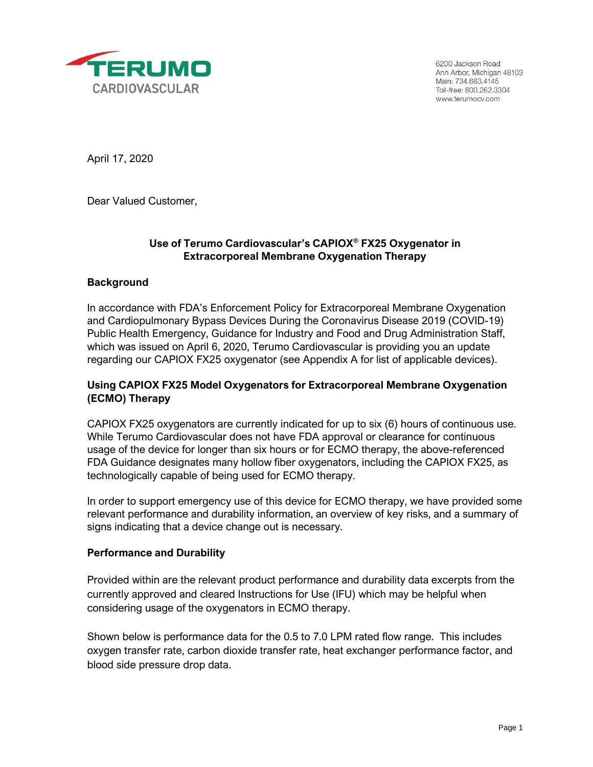

6200 Jackson Road Ann Arbor, Michigan 48103 Main: 734.663.4145 Toll-free: 800.262.3304 www.terumocv.com

April 17, 2020

Dear Valued Customer,

## **Use of Terumo Cardiovascular's CAPIOX® FX25 Oxygenator in Extracorporeal Membrane Oxygenation Therapy**

#### **Background**

In accordance with FDA's Enforcement Policy for Extracorporeal Membrane Oxygenation and Cardiopulmonary Bypass Devices During the Coronavirus Disease 2019 (COVID-19) Public Health Emergency, Guidance for Industry and Food and Drug Administration Staff, which was issued on April 6, 2020, Terumo Cardiovascular is providing you an update regarding our CAPIOX FX25 oxygenator (see Appendix A for list of applicable devices).

#### **Using CAPIOX FX25 Model Oxygenators for Extracorporeal Membrane Oxygenation (ECMO) Therapy**

CAPIOX FX25 oxygenators are currently indicated for up to six (6) hours of continuous use. While Terumo Cardiovascular does not have FDA approval or clearance for continuous usage of the device for longer than six hours or for ECMO therapy, the above-referenced FDA Guidance designates many hollow fiber oxygenators, including the CAPIOX FX25, as technologically capable of being used for ECMO therapy.

In order to support emergency use of this device for ECMO therapy, we have provided some relevant performance and durability information, an overview of key risks, and a summary of signs indicating that a device change out is necessary.

#### **Performance and Durability**

Provided within are the relevant product performance and durability data excerpts from the currently approved and cleared Instructions for Use (IFU) which may be helpful when considering usage of the oxygenators in ECMO therapy.

Shown below is performance data for the 0.5 to 7.0 LPM rated flow range. This includes oxygen transfer rate, carbon dioxide transfer rate, heat exchanger performance factor, and blood side pressure drop data.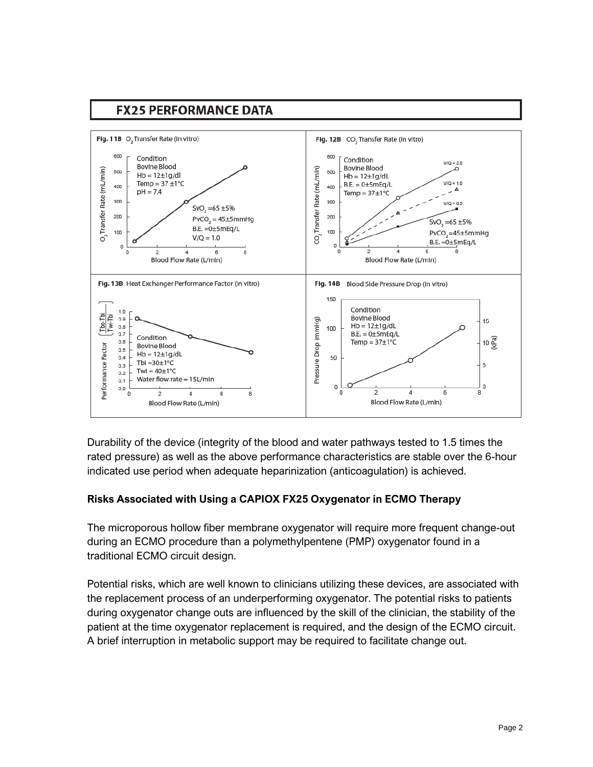

Durability of the device (integrity of the blood and water pathways tested to 1.5 times the rated pressure) as well as the above performance characteristics are stable over the 6-hour indicated use period when adequate heparinization (anticoagulation) is achieved.

## **Risks Associated with Using a CAPIOX FX25 Oxygenator in ECMO Therapy**

The microporous hollow fiber membrane oxygenator will require more frequent change-out during an ECMO procedure than a polymethylpentene (PMP) oxygenator found in a traditional ECMO circuit design.

Potential risks, which are well known to clinicians utilizing these devices, are associated with the replacement process of an underperforming oxygenator. The potential risks to patients during oxygenator change outs are influenced by the skill of the clinician, the stability of the patient at the time oxygenator replacement is required, and the design of the ECMO circuit. A brief interruption in metabolic support may be required to facilitate change out.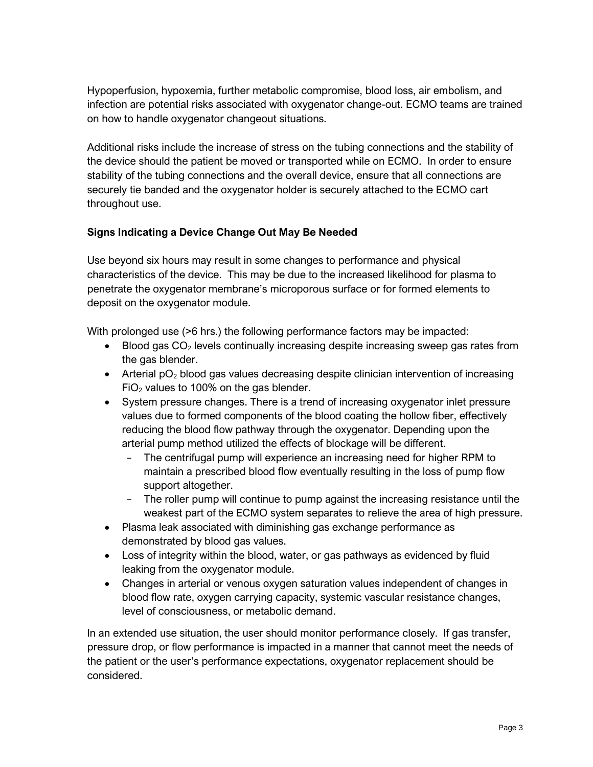Hypoperfusion, hypoxemia, further metabolic compromise, blood loss, air embolism, and infection are potential risks associated with oxygenator change-out. ECMO teams are trained on how to handle oxygenator changeout situations.

Additional risks include the increase of stress on the tubing connections and the stability of the device should the patient be moved or transported while on ECMO. In order to ensure stability of the tubing connections and the overall device, ensure that all connections are securely tie banded and the oxygenator holder is securely attached to the ECMO cart throughout use.

# **Signs Indicating a Device Change Out May Be Needed**

Use beyond six hours may result in some changes to performance and physical characteristics of the device. This may be due to the increased likelihood for plasma to penetrate the oxygenator membrane's microporous surface or for formed elements to deposit on the oxygenator module.

With prolonged use (>6 hrs.) the following performance factors may be impacted:

- Blood gas  $CO<sub>2</sub>$  levels continually increasing despite increasing sweep gas rates from the gas blender.
- Arterial  $pO<sub>2</sub>$  blood gas values decreasing despite clinician intervention of increasing  $FiO<sub>2</sub>$  values to 100% on the gas blender.
- System pressure changes. There is a trend of increasing oxygenator inlet pressure values due to formed components of the blood coating the hollow fiber, effectively reducing the blood flow pathway through the oxygenator. Depending upon the arterial pump method utilized the effects of blockage will be different.
	- − The centrifugal pump will experience an increasing need for higher RPM to maintain a prescribed blood flow eventually resulting in the loss of pump flow support altogether.
	- − The roller pump will continue to pump against the increasing resistance until the weakest part of the ECMO system separates to relieve the area of high pressure.
- Plasma leak associated with diminishing gas exchange performance as demonstrated by blood gas values.
- Loss of integrity within the blood, water, or gas pathways as evidenced by fluid leaking from the oxygenator module.
- Changes in arterial or venous oxygen saturation values independent of changes in blood flow rate, oxygen carrying capacity, systemic vascular resistance changes, level of consciousness, or metabolic demand.

In an extended use situation, the user should monitor performance closely. If gas transfer, pressure drop, or flow performance is impacted in a manner that cannot meet the needs of the patient or the user's performance expectations, oxygenator replacement should be considered.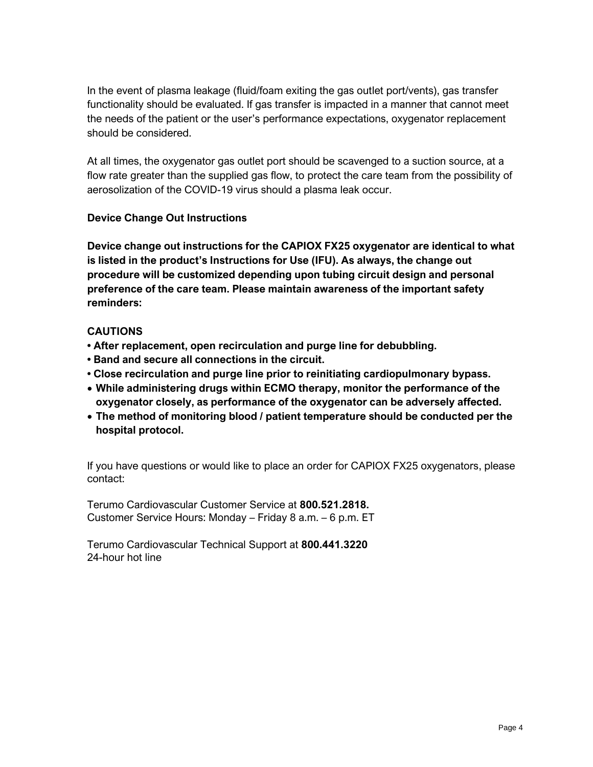In the event of plasma leakage (fluid/foam exiting the gas outlet port/vents), gas transfer functionality should be evaluated. If gas transfer is impacted in a manner that cannot meet the needs of the patient or the user's performance expectations, oxygenator replacement should be considered.

At all times, the oxygenator gas outlet port should be scavenged to a suction source, at a flow rate greater than the supplied gas flow, to protect the care team from the possibility of aerosolization of the COVID-19 virus should a plasma leak occur.

### **Device Change Out Instructions**

**Device change out instructions for the CAPIOX FX25 oxygenator are identical to what is listed in the product's Instructions for Use (IFU). As always, the change out procedure will be customized depending upon tubing circuit design and personal preference of the care team. Please maintain awareness of the important safety reminders:**

### **CAUTIONS**

**• After replacement, open recirculation and purge line for debubbling.** 

- **Band and secure all connections in the circuit.**
- **Close recirculation and purge line prior to reinitiating cardiopulmonary bypass.**
- **While administering drugs within ECMO therapy, monitor the performance of the oxygenator closely, as performance of the oxygenator can be adversely affected.**
- **The method of monitoring blood / patient temperature should be conducted per the hospital protocol.**

If you have questions or would like to place an order for CAPIOX FX25 oxygenators, please contact:

Terumo Cardiovascular Customer Service at **800.521.2818.** Customer Service Hours: Monday – Friday 8 a.m. – 6 p.m. ET

Terumo Cardiovascular Technical Support at **800.441.3220** 24-hour hot line